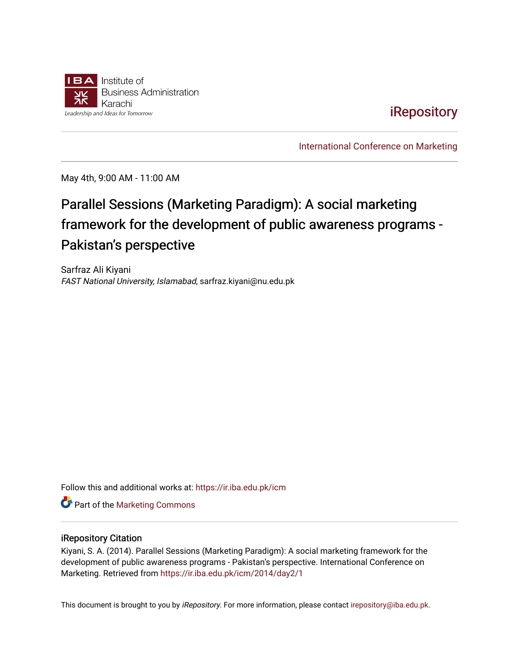

# **iRepository**

[International Conference on Marketing](https://ir.iba.edu.pk/icm) 

May 4th, 9:00 AM - 11:00 AM

# Parallel Sessions (Marketing Paradigm): A social marketing framework for the development of public awareness programs -Pakistan's perspective

Sarfraz Ali Kiyani FAST National University, Islamabad, sarfraz.kiyani@nu.edu.pk

Follow this and additional works at: [https://ir.iba.edu.pk/icm](https://ir.iba.edu.pk/icm?utm_source=ir.iba.edu.pk%2Ficm%2F2014%2Fday2%2F1&utm_medium=PDF&utm_campaign=PDFCoverPages) 

**Part of the [Marketing Commons](http://network.bepress.com/hgg/discipline/638?utm_source=ir.iba.edu.pk%2Ficm%2F2014%2Fday2%2F1&utm_medium=PDF&utm_campaign=PDFCoverPages)** 

#### iRepository Citation

Kiyani, S. A. (2014). Parallel Sessions (Marketing Paradigm): A social marketing framework for the development of public awareness programs - Pakistan's perspective. International Conference on Marketing. Retrieved from [https://ir.iba.edu.pk/icm/2014/day2/1](https://ir.iba.edu.pk/icm/2014/day2/1?utm_source=ir.iba.edu.pk%2Ficm%2F2014%2Fday2%2F1&utm_medium=PDF&utm_campaign=PDFCoverPages) 

This document is brought to you by iRepository. For more information, please contact [irepository@iba.edu.pk](mailto:irepository@iba.edu.pk).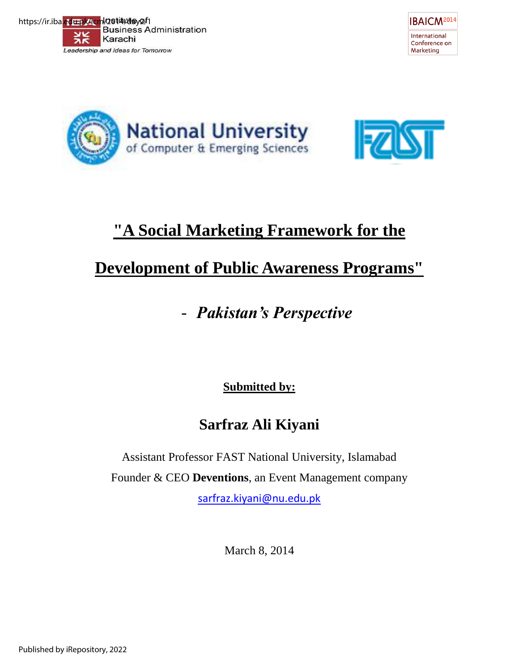







# **"A Social Marketing Framework for the**

# **Development of Public Awareness Programs"**

# - *Pakistan's Perspective*

**Submitted by:** 

# **Sarfraz Ali Kiyani**

Assistant Professor FAST National University, Islamabad

Founder & CEO **Deventions**, an Event Management company

[sarfraz.kiyani@nu.edu.pk](mailto:sarfraz.kiyani@nu.edu.pk)

March 8, 2014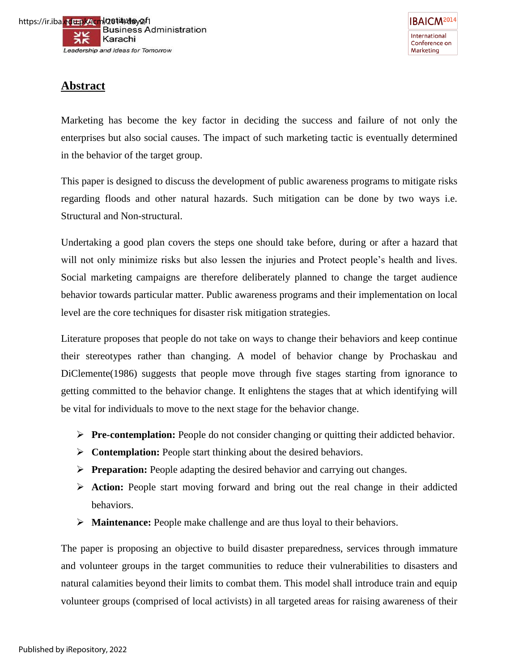# **Abstract**

Marketing has become the key factor in deciding the success and failure of not only the enterprises but also social causes. The impact of such marketing tactic is eventually determined in the behavior of the target group.

This paper is designed to discuss the development of public awareness programs to mitigate risks regarding floods and other natural hazards. Such mitigation can be done by two ways i.e. Structural and Non-structural.

Undertaking a good plan covers the steps one should take before, during or after a hazard that will not only minimize risks but also lessen the injuries and Protect people's health and lives. Social marketing campaigns are therefore deliberately planned to change the target audience behavior towards particular matter. Public awareness programs and their implementation on local level are the core techniques for disaster risk mitigation strategies.

Literature proposes that people do not take on ways to change their behaviors and keep continue their stereotypes rather than changing. A model of behavior change by Prochaskau and DiClemente(1986) suggests that people move through five stages starting from ignorance to getting committed to the behavior change. It enlightens the stages that at which identifying will be vital for individuals to move to the next stage for the behavior change.

- **Pre-contemplation:** People do not consider changing or quitting their addicted behavior.
- **Contemplation:** People start thinking about the desired behaviors.
- **Preparation:** People adapting the desired behavior and carrying out changes.
- **Action:** People start moving forward and bring out the real change in their addicted behaviors.
- **Maintenance:** People make challenge and are thus loyal to their behaviors.

The paper is proposing an objective to build disaster preparedness, services through immature and volunteer groups in the target communities to reduce their vulnerabilities to disasters and natural calamities beyond their limits to combat them. This model shall introduce train and equip volunteer groups (comprised of local activists) in all targeted areas for raising awareness of their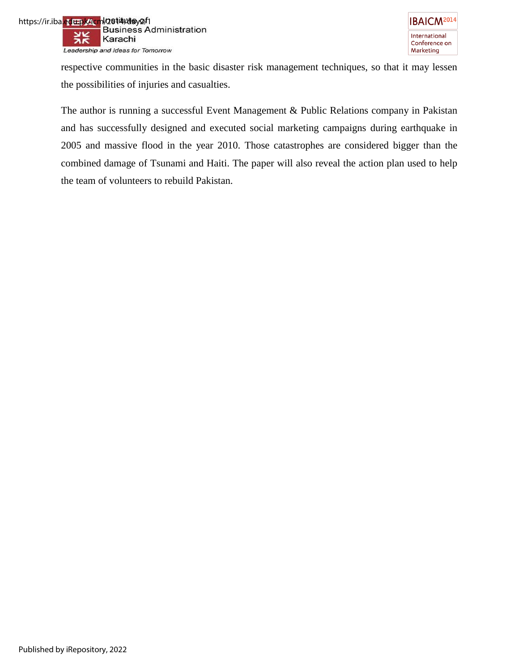respective communities in the basic disaster risk management techniques, so that it may lessen the possibilities of injuries and casualties.

The author is running a successful Event Management & Public Relations company in Pakistan and has successfully designed and executed social marketing campaigns during earthquake in 2005 and massive flood in the year 2010. Those catastrophes are considered bigger than the combined damage of Tsunami and Haiti. The paper will also reveal the action plan used to help the team of volunteers to rebuild Pakistan.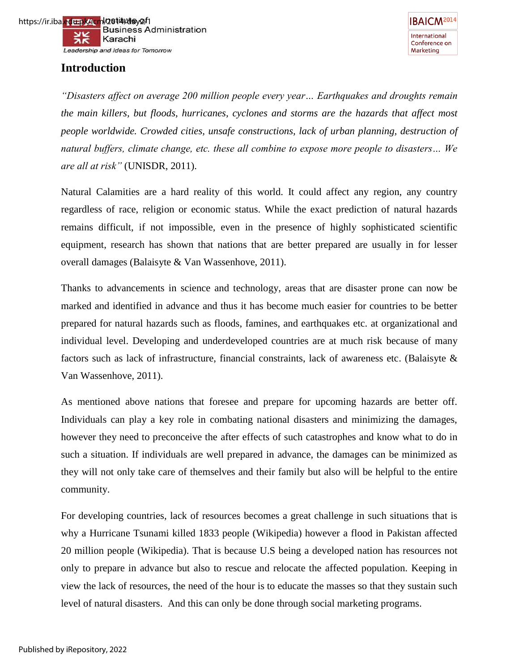# **Introduction**

**IBAICM<sup>2014</sup>** International Conference on Marketing

*"Disasters affect on average 200 million people every year… Earthquakes and droughts remain the main killers, but floods, hurricanes, cyclones and storms are the hazards that affect most people worldwide. Crowded cities, unsafe constructions, lack of urban planning, destruction of natural buffers, climate change, etc. these all combine to expose more people to disasters… We are all at risk"* (UNISDR, 2011).

Natural Calamities are a hard reality of this world. It could affect any region, any country regardless of race, religion or economic status. While the exact prediction of natural hazards remains difficult, if not impossible, even in the presence of highly sophisticated scientific equipment, research has shown that nations that are better prepared are usually in for lesser overall damages (Balaisyte & Van Wassenhove, 2011).

Thanks to advancements in science and technology, areas that are disaster prone can now be marked and identified in advance and thus it has become much easier for countries to be better prepared for natural hazards such as floods, famines, and earthquakes etc. at organizational and individual level. Developing and underdeveloped countries are at much risk because of many factors such as lack of infrastructure, financial constraints, lack of awareness etc. (Balaisyte & Van Wassenhove, 2011).

As mentioned above nations that foresee and prepare for upcoming hazards are better off. Individuals can play a key role in combating national disasters and minimizing the damages, however they need to preconceive the after effects of such catastrophes and know what to do in such a situation. If individuals are well prepared in advance, the damages can be minimized as they will not only take care of themselves and their family but also will be helpful to the entire community.

For developing countries, lack of resources becomes a great challenge in such situations that is why a Hurricane Tsunami killed 1833 people (Wikipedia) however a flood in Pakistan affected 20 million people (Wikipedia). That is because U.S being a developed nation has resources not only to prepare in advance but also to rescue and relocate the affected population. Keeping in view the lack of resources, the need of the hour is to educate the masses so that they sustain such level of natural disasters. And this can only be done through social marketing programs.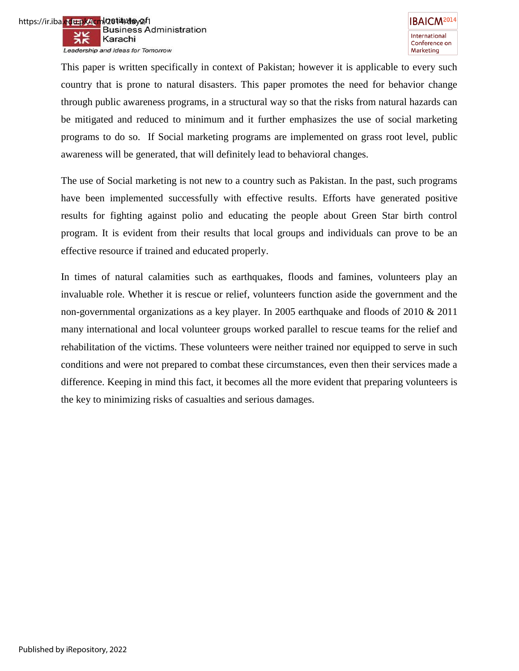This paper is written specifically in context of Pakistan; however it is applicable to every such country that is prone to natural disasters. This paper promotes the need for behavior change through public awareness programs, in a structural way so that the risks from natural hazards can be mitigated and reduced to minimum and it further emphasizes the use of social marketing programs to do so. If Social marketing programs are implemented on grass root level, public awareness will be generated, that will definitely lead to behavioral changes.

The use of Social marketing is not new to a country such as Pakistan. In the past, such programs have been implemented successfully with effective results. Efforts have generated positive results for fighting against polio and educating the people about Green Star birth control program. It is evident from their results that local groups and individuals can prove to be an effective resource if trained and educated properly.

In times of natural calamities such as earthquakes, floods and famines, volunteers play an invaluable role. Whether it is rescue or relief, volunteers function aside the government and the non-governmental organizations as a key player. In 2005 earthquake and floods of 2010 & 2011 many international and local volunteer groups worked parallel to rescue teams for the relief and rehabilitation of the victims. These volunteers were neither trained nor equipped to serve in such conditions and were not prepared to combat these circumstances, even then their services made a difference. Keeping in mind this fact, it becomes all the more evident that preparing volunteers is the key to minimizing risks of casualties and serious damages.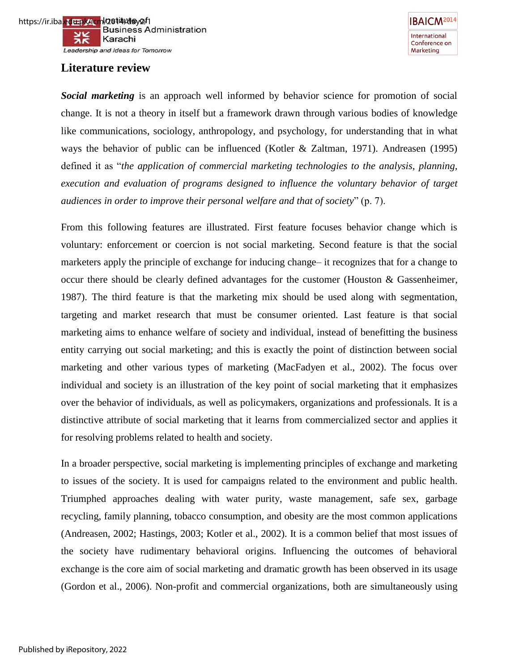

# **Literature review**



*Social marketing* is an approach well informed by behavior science for promotion of social change. It is not a theory in itself but a framework drawn through various bodies of knowledge like communications, sociology, anthropology, and psychology, for understanding that in what ways the behavior of public can be influenced (Kotler & Zaltman, 1971). Andreasen (1995) defined it as "*the application of commercial marketing technologies to the analysis, planning, execution and evaluation of programs designed to influence the voluntary behavior of target audiences in order to improve their personal welfare and that of society*" (p. 7).

From this following features are illustrated. First feature focuses behavior change which is voluntary: enforcement or coercion is not social marketing. Second feature is that the social marketers apply the principle of exchange for inducing change– it recognizes that for a change to occur there should be clearly defined advantages for the customer (Houston & Gassenheimer, 1987). The third feature is that the marketing mix should be used along with segmentation, targeting and market research that must be consumer oriented. Last feature is that social marketing aims to enhance welfare of society and individual, instead of benefitting the business entity carrying out social marketing; and this is exactly the point of distinction between social marketing and other various types of marketing (MacFadyen et al., 2002). The focus over individual and society is an illustration of the key point of social marketing that it emphasizes over the behavior of individuals, as well as policymakers, organizations and professionals. It is a distinctive attribute of social marketing that it learns from commercialized sector and applies it for resolving problems related to health and society.

In a broader perspective, social marketing is implementing principles of exchange and marketing to issues of the society. It is used for campaigns related to the environment and public health. Triumphed approaches dealing with water purity, waste management, safe sex, garbage recycling, family planning, tobacco consumption, and obesity are the most common applications (Andreasen, 2002; Hastings, 2003; Kotler et al., 2002). It is a common belief that most issues of the society have rudimentary behavioral origins. Influencing the outcomes of behavioral exchange is the core aim of social marketing and dramatic growth has been observed in its usage (Gordon et al., 2006). Non-profit and commercial organizations, both are simultaneously using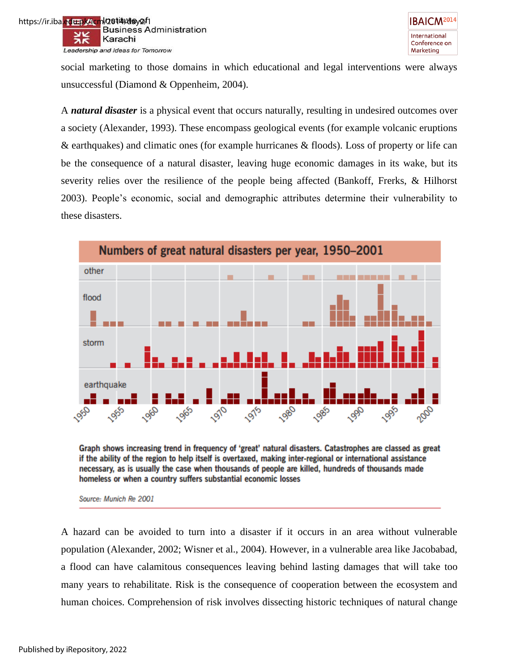https://ir.iba.<mark>edu.pk/icm</mark>l/2**014/da**y2/1<br>Business Administration w Karachi ЖŔ Leadership and Ideas for Tomorrow

> social marketing to those domains in which educational and legal interventions were always unsuccessful (Diamond & Oppenheim, 2004).

> A *natural disaster* is a physical event that occurs naturally, resulting in undesired outcomes over a society (Alexander, 1993). These encompass geological events (for example volcanic eruptions & earthquakes) and climatic ones (for example hurricanes & floods). Loss of property or life can be the consequence of a natural disaster, leaving huge economic damages in its wake, but its severity relies over the resilience of the people being affected (Bankoff, Frerks, & Hilhorst 2003). People"s economic, social and demographic attributes determine their vulnerability to these disasters.



Graph shows increasing trend in frequency of 'great' natural disasters. Catastrophes are classed as great if the ability of the region to help itself is overtaxed, making inter-regional or international assistance necessary, as is usually the case when thousands of people are killed, hundreds of thousands made homeless or when a country suffers substantial economic losses

Source: Munich Re 2001

A hazard can be avoided to turn into a disaster if it occurs in an area without vulnerable population (Alexander, 2002; Wisner et al., 2004). However, in a vulnerable area like Jacobabad, a flood can have calamitous consequences leaving behind lasting damages that will take too many years to rehabilitate. Risk is the consequence of cooperation between the ecosystem and human choices. Comprehension of risk involves dissecting historic techniques of natural change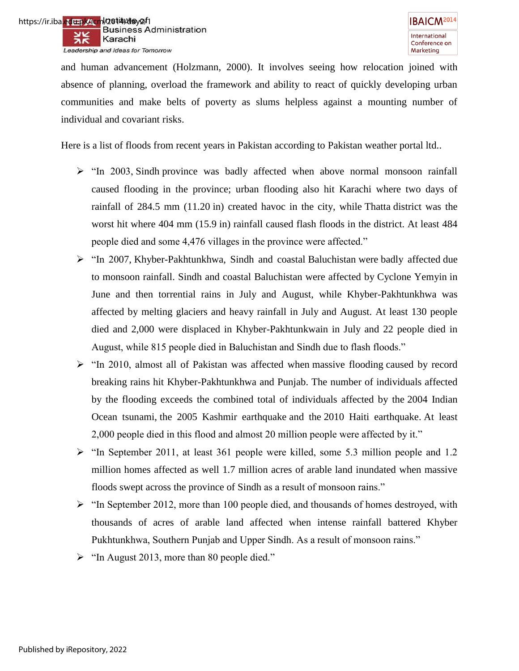and human advancement (Holzmann, 2000). It involves seeing how relocation joined with absence of planning, overload the framework and ability to react of quickly developing urban communities and make belts of poverty as slums helpless against a mounting number of individual and covariant risks.

Here is a list of floods from recent years in Pakistan according to Pakistan weather portal ltd..

- $\triangleright$  "In 2003, Sindh province was badly affected when above normal monsoon rainfall caused flooding in the province; urban flooding also hit Karachi where two days of rainfall of 284.5 mm (11.20 in) created havoc in the city, while Thatta district was the worst hit where 404 mm (15.9 in) rainfall caused flash floods in the district. At least 484 people died and some 4,476 villages in the province were affected."
- "In 2007, Khyber-Pakhtunkhwa, Sindh and coastal Baluchistan were badly affected due to monsoon rainfall. Sindh and coastal Baluchistan were affected by Cyclone Yemyin in June and then torrential rains in July and August, while Khyber-Pakhtunkhwa was affected by melting glaciers and heavy rainfall in July and August. At least 130 people died and 2,000 were displaced in Khyber-Pakhtunkwain in July and 22 people died in August, while 815 people died in Baluchistan and Sindh due to flash floods."
- $\triangleright$  "In 2010, almost all of Pakistan was affected when massive flooding caused by record breaking rains hit Khyber-Pakhtunkhwa and Punjab. The number of individuals affected by the flooding exceeds the combined total of individuals affected by the 2004 Indian Ocean tsunami, the 2005 Kashmir earthquake and the 2010 Haiti earthquake. At least 2,000 people died in this flood and almost 20 million people were affected by it."
- $\triangleright$  "In September 2011, at least 361 people were killed, some 5.3 million people and 1.2 million homes affected as well 1.7 million acres of arable land inundated when massive floods swept across the province of Sindh as a result of monsoon rains."
- $\triangleright$  "In September 2012, more than 100 people died, and thousands of homes destroyed, with thousands of acres of arable land affected when intense rainfall battered Khyber Pukhtunkhwa, Southern Punjab and Upper Sindh. As a result of monsoon rains."
- $\triangleright$  "In August 2013, more than 80 people died."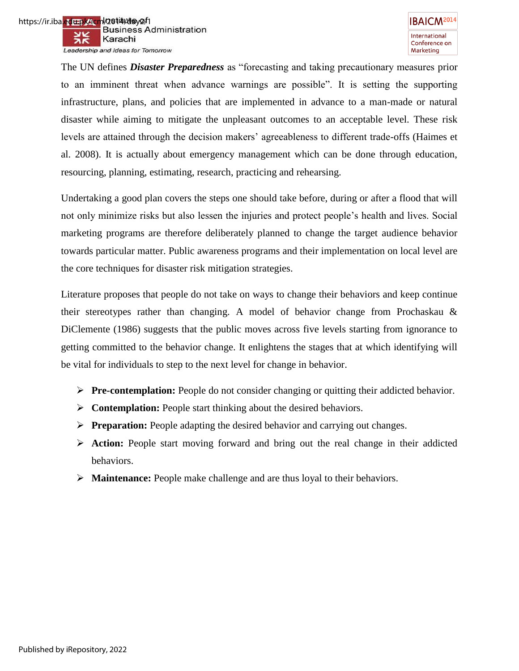The UN defines *Disaster Preparedness* as "forecasting and taking precautionary measures prior to an imminent threat when advance warnings are possible". It is setting the supporting infrastructure, plans, and policies that are implemented in advance to a man-made or natural disaster while aiming to mitigate the unpleasant outcomes to an acceptable level. These risk levels are attained through the decision makers" agreeableness to different trade-offs (Haimes et al. 2008). It is actually about emergency management which can be done through education, resourcing, planning, estimating, research, practicing and rehearsing.

Undertaking a good plan covers the steps one should take before, during or after a flood that will not only minimize risks but also lessen the injuries and protect people"s health and lives. Social marketing programs are therefore deliberately planned to change the target audience behavior towards particular matter. Public awareness programs and their implementation on local level are the core techniques for disaster risk mitigation strategies.

Literature proposes that people do not take on ways to change their behaviors and keep continue their stereotypes rather than changing. A model of behavior change from Prochaskau & DiClemente (1986) suggests that the public moves across five levels starting from ignorance to getting committed to the behavior change. It enlightens the stages that at which identifying will be vital for individuals to step to the next level for change in behavior.

- **Pre-contemplation:** People do not consider changing or quitting their addicted behavior.
- **Contemplation:** People start thinking about the desired behaviors.
- **Preparation:** People adapting the desired behavior and carrying out changes.
- **Action:** People start moving forward and bring out the real change in their addicted behaviors.
- **Maintenance:** People make challenge and are thus loyal to their behaviors.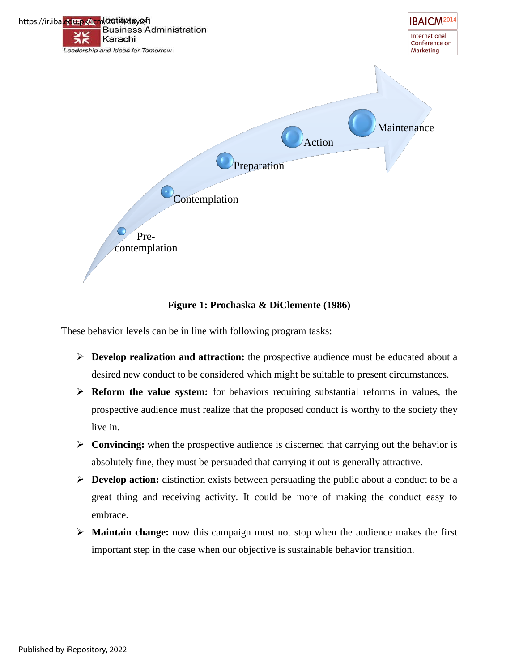

## **Figure 1: Prochaska & DiClemente (1986)**

These behavior levels can be in line with following program tasks:

- **Develop realization and attraction:** the prospective audience must be educated about a desired new conduct to be considered which might be suitable to present circumstances.
- **Reform the value system:** for behaviors requiring substantial reforms in values, the prospective audience must realize that the proposed conduct is worthy to the society they live in.
- **Convincing:** when the prospective audience is discerned that carrying out the behavior is absolutely fine, they must be persuaded that carrying it out is generally attractive.
- **Develop action:** distinction exists between persuading the public about a conduct to be a great thing and receiving activity. It could be more of making the conduct easy to embrace.
- **Maintain change:** now this campaign must not stop when the audience makes the first important step in the case when our objective is sustainable behavior transition.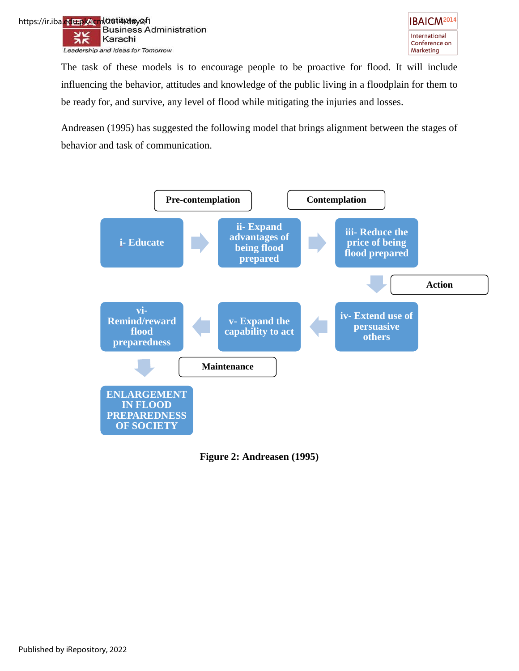



The task of these models is to encourage people to be proactive for flood. It will include influencing the behavior, attitudes and knowledge of the public living in a floodplain for them to be ready for, and survive, any level of flood while mitigating the injuries and losses.

Andreasen (1995) has suggested the following model that brings alignment between the stages of behavior and task of communication.



**Figure 2: Andreasen (1995)**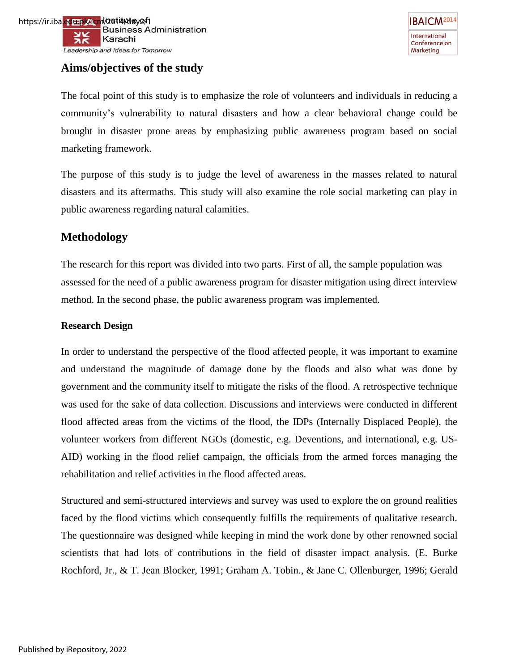



# **Aims/objectives of the study**

The focal point of this study is to emphasize the role of volunteers and individuals in reducing a community"s vulnerability to natural disasters and how a clear behavioral change could be brought in disaster prone areas by emphasizing public awareness program based on social marketing framework.

The purpose of this study is to judge the level of awareness in the masses related to natural disasters and its aftermaths. This study will also examine the role social marketing can play in public awareness regarding natural calamities.

# **Methodology**

The research for this report was divided into two parts. First of all, the sample population was assessed for the need of a public awareness program for disaster mitigation using direct interview method. In the second phase, the public awareness program was implemented.

#### **Research Design**

In order to understand the perspective of the flood affected people, it was important to examine and understand the magnitude of damage done by the floods and also what was done by government and the community itself to mitigate the risks of the flood. A retrospective technique was used for the sake of data collection. Discussions and interviews were conducted in different flood affected areas from the victims of the flood, the IDPs (Internally Displaced People), the volunteer workers from different NGOs (domestic, e.g. Deventions, and international, e.g. US-AID) working in the flood relief campaign, the officials from the armed forces managing the rehabilitation and relief activities in the flood affected areas.

Structured and semi-structured interviews and survey was used to explore the on ground realities faced by the flood victims which consequently fulfills the requirements of qualitative research. The questionnaire was designed while keeping in mind the work done by other renowned social scientists that had lots of contributions in the field of disaster impact analysis. (E. Burke Rochford, Jr., & T. Jean Blocker, 1991; Graham A. Tobin., & Jane C. Ollenburger, 1996; Gerald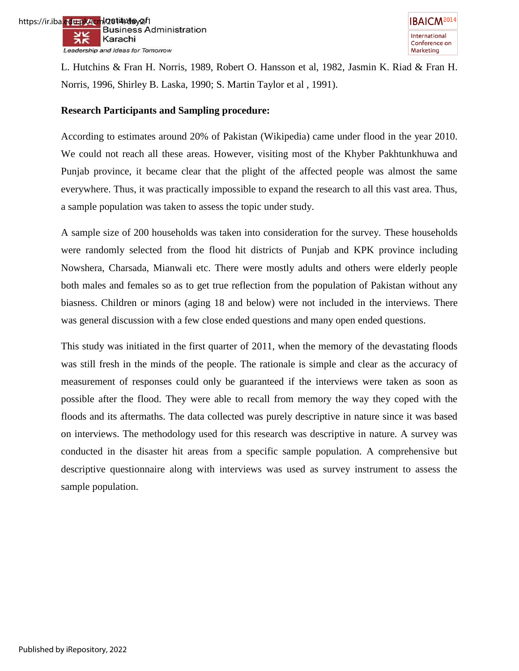L. Hutchins & Fran H. Norris, 1989, Robert O. Hansson et al, 1982, Jasmin K. Riad & Fran H. Norris, 1996, Shirley B. Laska, 1990; S. Martin Taylor et al , 1991).

#### **Research Participants and Sampling procedure:**

According to estimates around 20% of Pakistan (Wikipedia) came under flood in the year 2010. We could not reach all these areas. However, visiting most of the Khyber Pakhtunkhuwa and Punjab province, it became clear that the plight of the affected people was almost the same everywhere. Thus, it was practically impossible to expand the research to all this vast area. Thus, a sample population was taken to assess the topic under study.

A sample size of 200 households was taken into consideration for the survey. These households were randomly selected from the flood hit districts of Punjab and KPK province including Nowshera, Charsada, Mianwali etc. There were mostly adults and others were elderly people both males and females so as to get true reflection from the population of Pakistan without any biasness. Children or minors (aging 18 and below) were not included in the interviews. There was general discussion with a few close ended questions and many open ended questions.

This study was initiated in the first quarter of 2011, when the memory of the devastating floods was still fresh in the minds of the people. The rationale is simple and clear as the accuracy of measurement of responses could only be guaranteed if the interviews were taken as soon as possible after the flood. They were able to recall from memory the way they coped with the floods and its aftermaths. The data collected was purely descriptive in nature since it was based on interviews. The methodology used for this research was descriptive in nature. A survey was conducted in the disaster hit areas from a specific sample population. A comprehensive but descriptive questionnaire along with interviews was used as survey instrument to assess the sample population.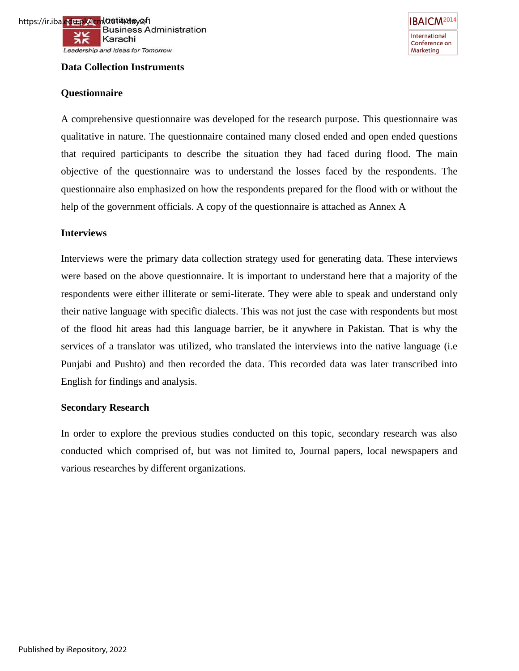

#### **Data Collection Instruments**

#### **Questionnaire**

A comprehensive questionnaire was developed for the research purpose. This questionnaire was qualitative in nature. The questionnaire contained many closed ended and open ended questions that required participants to describe the situation they had faced during flood. The main objective of the questionnaire was to understand the losses faced by the respondents. The questionnaire also emphasized on how the respondents prepared for the flood with or without the help of the government officials. A copy of the questionnaire is attached as Annex A

#### **Interviews**

Interviews were the primary data collection strategy used for generating data. These interviews were based on the above questionnaire. It is important to understand here that a majority of the respondents were either illiterate or semi-literate. They were able to speak and understand only their native language with specific dialects. This was not just the case with respondents but most of the flood hit areas had this language barrier, be it anywhere in Pakistan. That is why the services of a translator was utilized, who translated the interviews into the native language (i.e Punjabi and Pushto) and then recorded the data. This recorded data was later transcribed into English for findings and analysis.

#### **Secondary Research**

In order to explore the previous studies conducted on this topic, secondary research was also conducted which comprised of, but was not limited to, Journal papers, local newspapers and various researches by different organizations.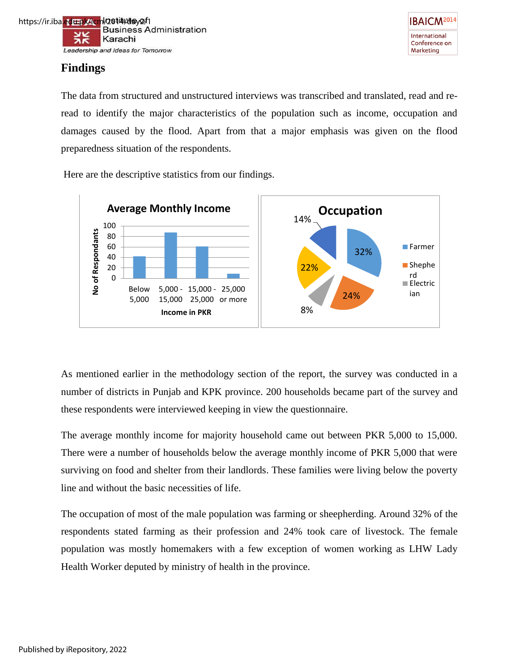



# **Findings**

The data from structured and unstructured interviews was transcribed and translated, read and reread to identify the major characteristics of the population such as income, occupation and damages caused by the flood. Apart from that a major emphasis was given on the flood preparedness situation of the respondents.

Here are the descriptive statistics from our findings.



As mentioned earlier in the methodology section of the report, the survey was conducted in a number of districts in Punjab and KPK province. 200 households became part of the survey and these respondents were interviewed keeping in view the questionnaire.

The average monthly income for majority household came out between PKR 5,000 to 15,000. There were a number of households below the average monthly income of PKR 5,000 that were surviving on food and shelter from their landlords. These families were living below the poverty line and without the basic necessities of life.

The occupation of most of the male population was farming or sheepherding. Around 32% of the respondents stated farming as their profession and 24% took care of livestock. The female population was mostly homemakers with a few exception of women working as LHW Lady Health Worker deputed by ministry of health in the province.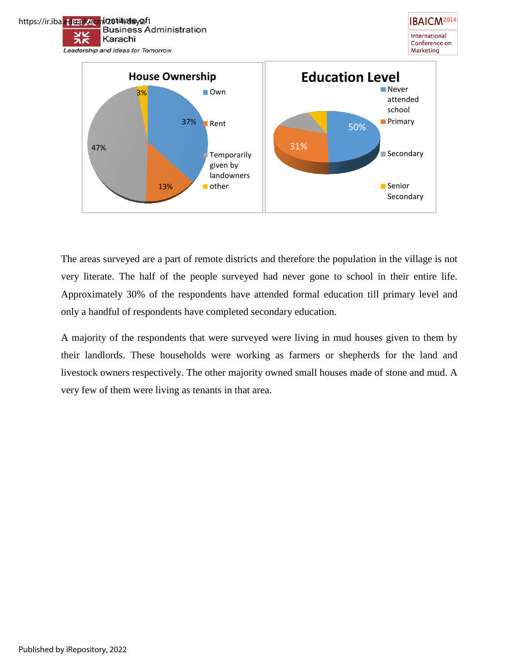

The areas surveyed are a part of remote districts and therefore the population in the village is not very literate. The half of the people surveyed had never gone to school in their entire life. Approximately 30% of the respondents have attended formal education till primary level and only a handful of respondents have completed secondary education.

A majority of the respondents that were surveyed were living in mud houses given to them by their landlords. These households were working as farmers or shepherds for the land and livestock owners respectively. The other majority owned small houses made of stone and mud. A very few of them were living as tenants in that area.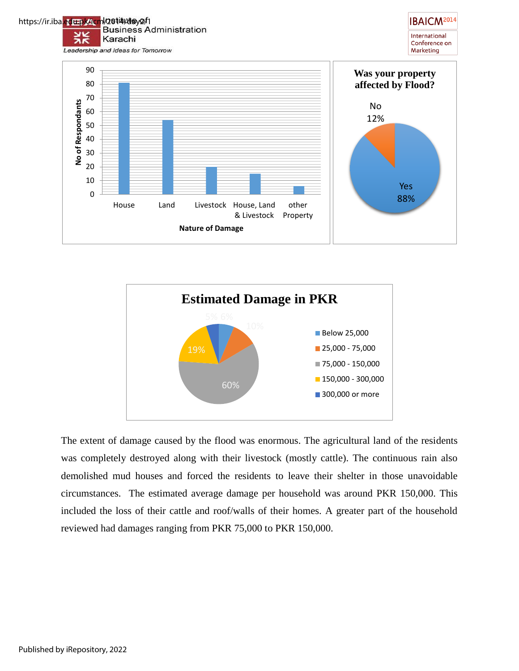



The extent of damage caused by the flood was enormous. The agricultural land of the residents was completely destroyed along with their livestock (mostly cattle). The continuous rain also demolished mud houses and forced the residents to leave their shelter in those unavoidable circumstances. The estimated average damage per household was around PKR 150,000. This included the loss of their cattle and roof/walls of their homes. A greater part of the household reviewed had damages ranging from PKR 75,000 to PKR 150,000.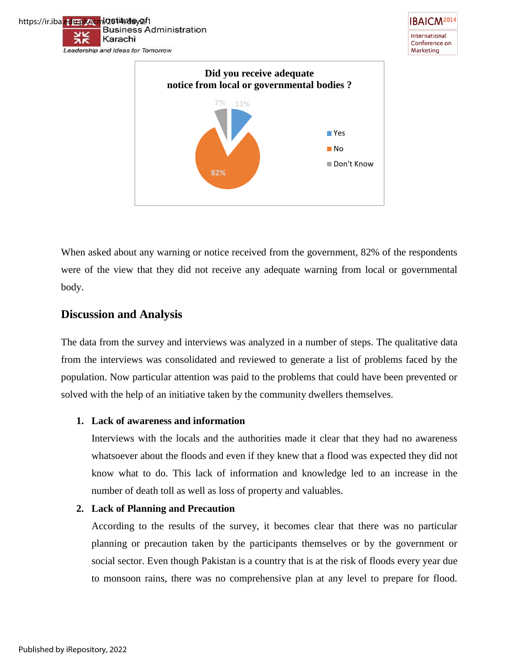

When asked about any warning or notice received from the government, 82% of the respondents were of the view that they did not receive any adequate warning from local or governmental body.

# **Discussion and Analysis**

The data from the survey and interviews was analyzed in a number of steps. The qualitative data from the interviews was consolidated and reviewed to generate a list of problems faced by the population. Now particular attention was paid to the problems that could have been prevented or solved with the help of an initiative taken by the community dwellers themselves.

#### **1. Lack of awareness and information**

Interviews with the locals and the authorities made it clear that they had no awareness whatsoever about the floods and even if they knew that a flood was expected they did not know what to do. This lack of information and knowledge led to an increase in the number of death toll as well as loss of property and valuables.

#### **2. Lack of Planning and Precaution**

According to the results of the survey, it becomes clear that there was no particular planning or precaution taken by the participants themselves or by the government or social sector. Even though Pakistan is a country that is at the risk of floods every year due to monsoon rains, there was no comprehensive plan at any level to prepare for flood.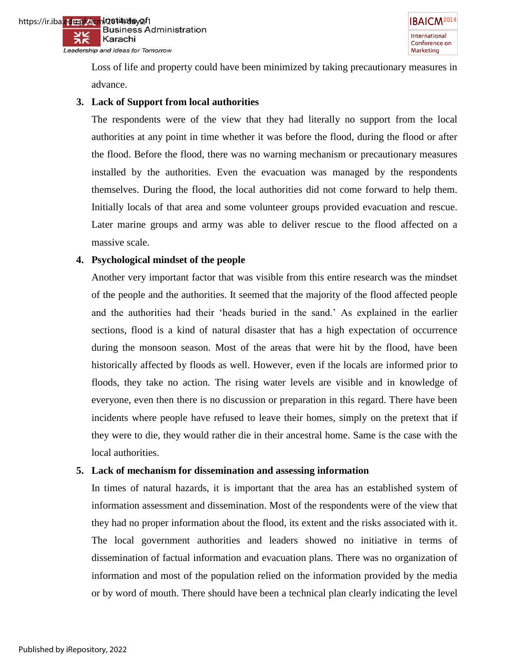Loss of life and property could have been minimized by taking precautionary measures in advance.

#### **3. Lack of Support from local authorities**

The respondents were of the view that they had literally no support from the local authorities at any point in time whether it was before the flood, during the flood or after the flood. Before the flood, there was no warning mechanism or precautionary measures installed by the authorities. Even the evacuation was managed by the respondents themselves. During the flood, the local authorities did not come forward to help them. Initially locals of that area and some volunteer groups provided evacuation and rescue. Later marine groups and army was able to deliver rescue to the flood affected on a massive scale.

#### **4. Psychological mindset of the people**

Another very important factor that was visible from this entire research was the mindset of the people and the authorities. It seemed that the majority of the flood affected people and the authorities had their "heads buried in the sand." As explained in the earlier sections, flood is a kind of natural disaster that has a high expectation of occurrence during the monsoon season. Most of the areas that were hit by the flood, have been historically affected by floods as well. However, even if the locals are informed prior to floods, they take no action. The rising water levels are visible and in knowledge of everyone, even then there is no discussion or preparation in this regard. There have been incidents where people have refused to leave their homes, simply on the pretext that if they were to die, they would rather die in their ancestral home. Same is the case with the local authorities.

#### **5. Lack of mechanism for dissemination and assessing information**

In times of natural hazards, it is important that the area has an established system of information assessment and dissemination. Most of the respondents were of the view that they had no proper information about the flood, its extent and the risks associated with it. The local government authorities and leaders showed no initiative in terms of dissemination of factual information and evacuation plans. There was no organization of information and most of the population relied on the information provided by the media or by word of mouth. There should have been a technical plan clearly indicating the level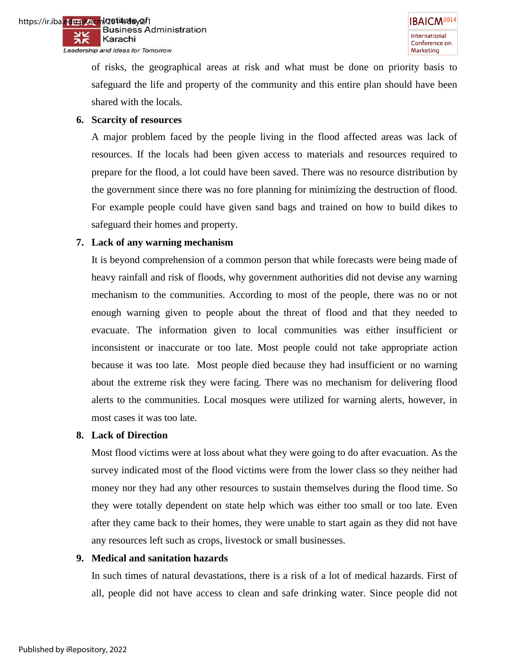of risks, the geographical areas at risk and what must be done on priority basis to safeguard the life and property of the community and this entire plan should have been shared with the locals.

#### **6. Scarcity of resources**

A major problem faced by the people living in the flood affected areas was lack of resources. If the locals had been given access to materials and resources required to prepare for the flood, a lot could have been saved. There was no resource distribution by the government since there was no fore planning for minimizing the destruction of flood. For example people could have given sand bags and trained on how to build dikes to safeguard their homes and property.

#### **7. Lack of any warning mechanism**

It is beyond comprehension of a common person that while forecasts were being made of heavy rainfall and risk of floods, why government authorities did not devise any warning mechanism to the communities. According to most of the people, there was no or not enough warning given to people about the threat of flood and that they needed to evacuate. The information given to local communities was either insufficient or inconsistent or inaccurate or too late. Most people could not take appropriate action because it was too late. Most people died because they had insufficient or no warning about the extreme risk they were facing. There was no mechanism for delivering flood alerts to the communities. Local mosques were utilized for warning alerts, however, in most cases it was too late.

#### **8. Lack of Direction**

Most flood victims were at loss about what they were going to do after evacuation. As the survey indicated most of the flood victims were from the lower class so they neither had money nor they had any other resources to sustain themselves during the flood time. So they were totally dependent on state help which was either too small or too late. Even after they came back to their homes, they were unable to start again as they did not have any resources left such as crops, livestock or small businesses.

## **9. Medical and sanitation hazards**

In such times of natural devastations, there is a risk of a lot of medical hazards. First of all, people did not have access to clean and safe drinking water. Since people did not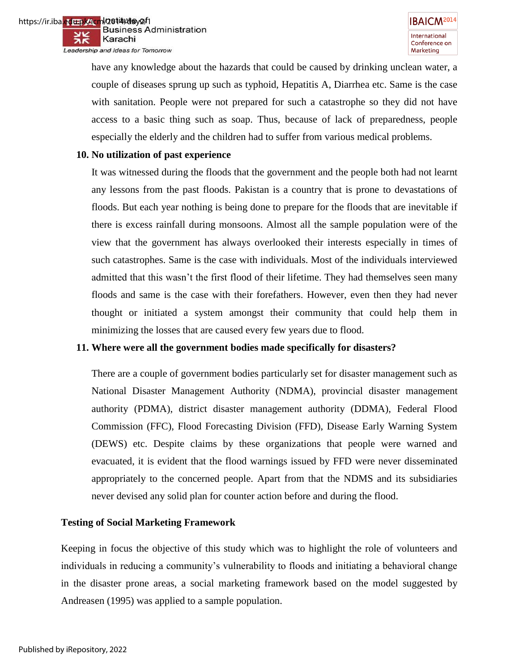have any knowledge about the hazards that could be caused by drinking unclean water, a couple of diseases sprung up such as typhoid, Hepatitis A, Diarrhea etc. Same is the case with sanitation. People were not prepared for such a catastrophe so they did not have access to a basic thing such as soap. Thus, because of lack of preparedness, people especially the elderly and the children had to suffer from various medical problems.

#### **10. No utilization of past experience**

It was witnessed during the floods that the government and the people both had not learnt any lessons from the past floods. Pakistan is a country that is prone to devastations of floods. But each year nothing is being done to prepare for the floods that are inevitable if there is excess rainfall during monsoons. Almost all the sample population were of the view that the government has always overlooked their interests especially in times of such catastrophes. Same is the case with individuals. Most of the individuals interviewed admitted that this wasn"t the first flood of their lifetime. They had themselves seen many floods and same is the case with their forefathers. However, even then they had never thought or initiated a system amongst their community that could help them in minimizing the losses that are caused every few years due to flood.

## **11. Where were all the government bodies made specifically for disasters?**

There are a couple of government bodies particularly set for disaster management such as National Disaster Management Authority (NDMA), provincial disaster management authority (PDMA), district disaster management authority (DDMA), Federal Flood Commission (FFC), Flood Forecasting Division (FFD), Disease Early Warning System (DEWS) etc. Despite claims by these organizations that people were warned and evacuated, it is evident that the flood warnings issued by FFD were never disseminated appropriately to the concerned people. Apart from that the NDMS and its subsidiaries never devised any solid plan for counter action before and during the flood.

## **Testing of Social Marketing Framework**

Keeping in focus the objective of this study which was to highlight the role of volunteers and individuals in reducing a community"s vulnerability to floods and initiating a behavioral change in the disaster prone areas, a social marketing framework based on the model suggested by Andreasen (1995) was applied to a sample population.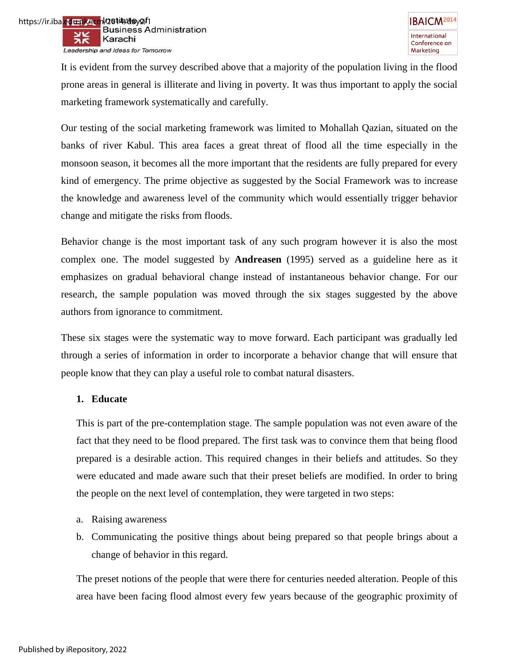https://ir.iba.<mark>edu.pk/icm</mark>l/2**014/da**y2/1<br>Business Administration w Karachi Leadership and Ideas for Tomorrow

> It is evident from the survey described above that a majority of the population living in the flood prone areas in general is illiterate and living in poverty. It was thus important to apply the social marketing framework systematically and carefully.

> Our testing of the social marketing framework was limited to Mohallah Qazian, situated on the banks of river Kabul. This area faces a great threat of flood all the time especially in the monsoon season, it becomes all the more important that the residents are fully prepared for every kind of emergency. The prime objective as suggested by the Social Framework was to increase the knowledge and awareness level of the community which would essentially trigger behavior change and mitigate the risks from floods.

> Behavior change is the most important task of any such program however it is also the most complex one. The model suggested by **Andreasen** (1995) served as a guideline here as it emphasizes on gradual behavioral change instead of instantaneous behavior change. For our research, the sample population was moved through the six stages suggested by the above authors from ignorance to commitment.

> These six stages were the systematic way to move forward. Each participant was gradually led through a series of information in order to incorporate a behavior change that will ensure that people know that they can play a useful role to combat natural disasters.

## **1. Educate**

This is part of the pre-contemplation stage. The sample population was not even aware of the fact that they need to be flood prepared. The first task was to convince them that being flood prepared is a desirable action. This required changes in their beliefs and attitudes. So they were educated and made aware such that their preset beliefs are modified. In order to bring the people on the next level of contemplation, they were targeted in two steps:

- a. Raising awareness
- b. Communicating the positive things about being prepared so that people brings about a change of behavior in this regard.

The preset notions of the people that were there for centuries needed alteration. People of this area have been facing flood almost every few years because of the geographic proximity of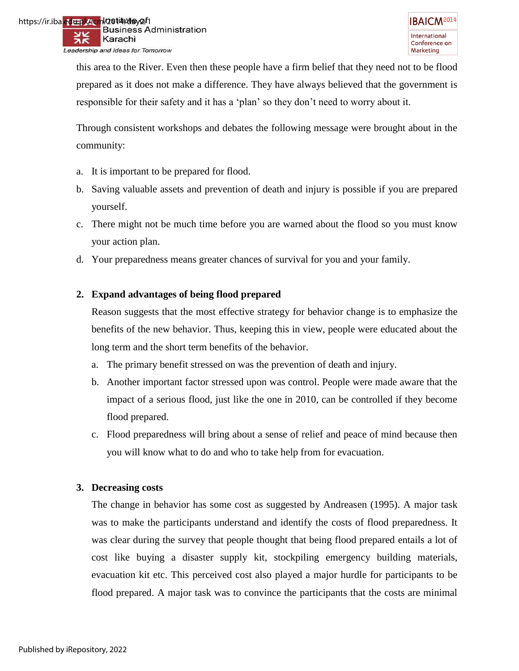https://ir.iba.<mark>edu.pk/icm<sup>l</sup>/2014/day2/</mark>1<br>Business Administration Karachi Leadership and Ideas for Tomorrow

> this area to the River. Even then these people have a firm belief that they need not to be flood prepared as it does not make a difference. They have always believed that the government is responsible for their safety and it has a "plan" so they don"t need to worry about it.

> Through consistent workshops and debates the following message were brought about in the community:

- a. It is important to be prepared for flood.
- b. Saving valuable assets and prevention of death and injury is possible if you are prepared yourself.
- c. There might not be much time before you are warned about the flood so you must know your action plan.
- d. Your preparedness means greater chances of survival for you and your family.

# **2. Expand advantages of being flood prepared**

Reason suggests that the most effective strategy for behavior change is to emphasize the benefits of the new behavior. Thus, keeping this in view, people were educated about the long term and the short term benefits of the behavior.

- a. The primary benefit stressed on was the prevention of death and injury.
- b. Another important factor stressed upon was control. People were made aware that the impact of a serious flood, just like the one in 2010, can be controlled if they become flood prepared.
- c. Flood preparedness will bring about a sense of relief and peace of mind because then you will know what to do and who to take help from for evacuation.

## **3. Decreasing costs**

The change in behavior has some cost as suggested by Andreasen (1995). A major task was to make the participants understand and identify the costs of flood preparedness. It was clear during the survey that people thought that being flood prepared entails a lot of cost like buying a disaster supply kit, stockpiling emergency building materials, evacuation kit etc. This perceived cost also played a major hurdle for participants to be flood prepared. A major task was to convince the participants that the costs are minimal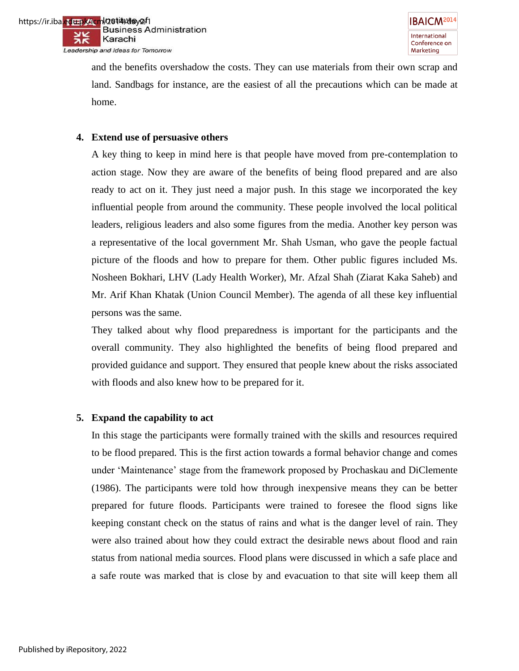



and the benefits overshadow the costs. They can use materials from their own scrap and land. Sandbags for instance, are the easiest of all the precautions which can be made at home.

#### **4. Extend use of persuasive others**

A key thing to keep in mind here is that people have moved from pre-contemplation to action stage. Now they are aware of the benefits of being flood prepared and are also ready to act on it. They just need a major push. In this stage we incorporated the key influential people from around the community. These people involved the local political leaders, religious leaders and also some figures from the media. Another key person was a representative of the local government Mr. Shah Usman, who gave the people factual picture of the floods and how to prepare for them. Other public figures included Ms. Nosheen Bokhari, LHV (Lady Health Worker), Mr. Afzal Shah (Ziarat Kaka Saheb) and Mr. Arif Khan Khatak (Union Council Member). The agenda of all these key influential persons was the same.

They talked about why flood preparedness is important for the participants and the overall community. They also highlighted the benefits of being flood prepared and provided guidance and support. They ensured that people knew about the risks associated with floods and also knew how to be prepared for it.

#### **5. Expand the capability to act**

In this stage the participants were formally trained with the skills and resources required to be flood prepared. This is the first action towards a formal behavior change and comes under "Maintenance" stage from the framework proposed by Prochaskau and DiClemente (1986). The participants were told how through inexpensive means they can be better prepared for future floods. Participants were trained to foresee the flood signs like keeping constant check on the status of rains and what is the danger level of rain. They were also trained about how they could extract the desirable news about flood and rain status from national media sources. Flood plans were discussed in which a safe place and a safe route was marked that is close by and evacuation to that site will keep them all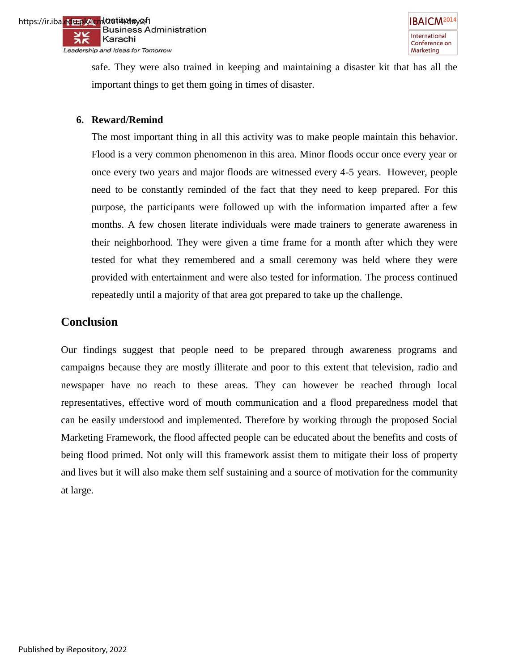

safe. They were also trained in keeping and maintaining a disaster kit that has all the important things to get them going in times of disaster.

#### **6. Reward/Remind**

The most important thing in all this activity was to make people maintain this behavior. Flood is a very common phenomenon in this area. Minor floods occur once every year or once every two years and major floods are witnessed every 4-5 years. However, people need to be constantly reminded of the fact that they need to keep prepared. For this purpose, the participants were followed up with the information imparted after a few months. A few chosen literate individuals were made trainers to generate awareness in their neighborhood. They were given a time frame for a month after which they were tested for what they remembered and a small ceremony was held where they were provided with entertainment and were also tested for information. The process continued repeatedly until a majority of that area got prepared to take up the challenge.

# **Conclusion**

Our findings suggest that people need to be prepared through awareness programs and campaigns because they are mostly illiterate and poor to this extent that television, radio and newspaper have no reach to these areas. They can however be reached through local representatives, effective word of mouth communication and a flood preparedness model that can be easily understood and implemented. Therefore by working through the proposed Social Marketing Framework, the flood affected people can be educated about the benefits and costs of being flood primed. Not only will this framework assist them to mitigate their loss of property and lives but it will also make them self sustaining and a source of motivation for the community at large.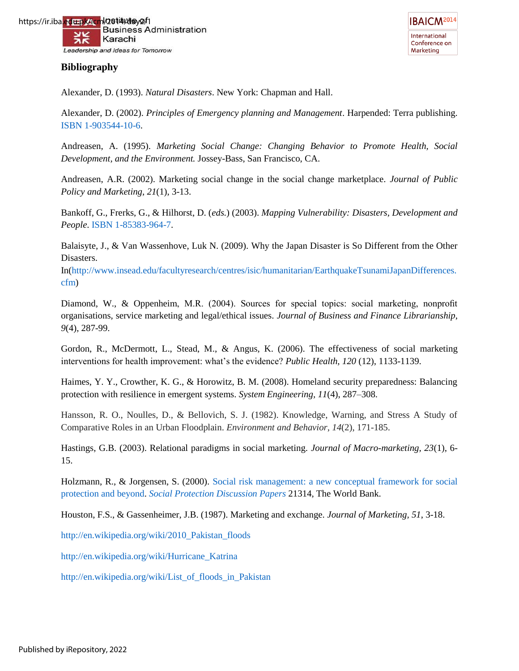

**IBAICM<sup>2014</sup>** International Conference on Marketing

Alexander, D. (1993). *Natural Disasters*. New York: Chapman and Hall.

Alexander, D. (2002). *Principles of Emergency planning and Management*. Harpended: Terra publishing. [ISBN](http://en.wikipedia.org/wiki/International_Standard_Book_Number) [1-903544-10-6.](http://en.wikipedia.org/wiki/Special:BookSources/1-903544-10-6)

Andreasen, A. (1995). *Marketing Social Change: Changing Behavior to Promote Health, Social Development, and the Environment.* Jossey-Bass, San Francisco, CA.

Andreasen, A.R. (2002). Marketing social change in the social change marketplace. *Journal of Public Policy and Marketing*, *21*(1), 3-13.

Bankoff, G., Frerks, G., & Hilhorst, D. (*eds.*) (2003). *Mapping Vulnerability: Disasters, Development and People*. [ISBN](http://en.wikipedia.org/wiki/International_Standard_Book_Number) [1-85383-964-7.](http://en.wikipedia.org/wiki/Special:BookSources/1-85383-964-7)

Balaisyte, J., & Van Wassenhove, Luk N. (2009). Why the Japan Disaster is So Different from the Other Disasters.

In[\(http://www.insead.edu/facultyresearch/centres/isic/humanitarian/EarthquakeTsunamiJapanDifferences.](http://www.insead.edu/facultyresearch/centres/isic/humanitarian/EarthquakeTsunamiJapanDifferences.cfm) [cfm\)](http://www.insead.edu/facultyresearch/centres/isic/humanitarian/EarthquakeTsunamiJapanDifferences.cfm)

Diamond, W., & Oppenheim, M.R. (2004). Sources for special topics: social marketing, nonprofit organisations, service marketing and legal/ethical issues. *Journal of Business and Finance Librarianship*, *9*(4), 287-99.

Gordon, R., McDermott, L., Stead, M., & Angus, K. (2006). The effectiveness of social marketing interventions for health improvement: what"s the evidence? *Public Health, 120* (12), 1133-1139.

Haimes, Y. Y., Crowther, K. G., & Horowitz, B. M. (2008). Homeland security preparedness: Balancing protection with resilience in emergent systems. *System Engineering, 11*(4), 287–308.

Hansson, R. O., Noulles, D., & Bellovich, S. J. (1982). Knowledge, Warning, and Stress A Study of Comparative Roles in an Urban Floodplain. *Environment and Behavior*, *14*(2), 171-185.

Hastings, G.B. (2003). Relational paradigms in social marketing. *Journal of Macro-marketing, 23*(1), 6- 15.

Holzmann, R., & Jorgensen, S. (2000). [Social risk management: a new conceptual framework for social](http://ideas.repec.org/p/wbk/hdnspu/21314.html)  [protection and beyond.](http://ideas.repec.org/p/wbk/hdnspu/21314.html) *[Social Protection Discussion Papers](http://ideas.repec.org/s/wbk/hdnspu.html)* 21314, The World Bank.

Houston, F.S., & Gassenheimer, J.B. (1987). Marketing and exchange. *Journal of Marketing, 51*, 3-18.

[http://en.wikipedia.org/wiki/2010\\_Pakistan\\_floods](http://en.wikipedia.org/wiki/2010_Pakistan_floods)

[http://en.wikipedia.org/wiki/Hurricane\\_Katrina](http://en.wikipedia.org/wiki/Hurricane_Katrina) 

[http://en.wikipedia.org/wiki/List\\_of\\_floods\\_in\\_Pakistan](http://en.wikipedia.org/wiki/List_of_floods_in_Pakistan)